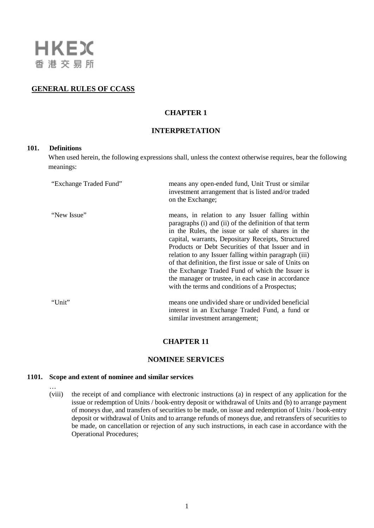

### **GENERAL RULES OF CCASS**

## **CHAPTER 1**

# **INTERPRETATION**

### **101. Definitions**

When used herein, the following expressions shall, unless the context otherwise requires, bear the following meanings:

| "Exchange Traded Fund" | means any open-ended fund, Unit Trust or similar<br>investment arrangement that is listed and/or traded<br>on the Exchange;                                                                                                                                                                                                                                                                                                                                                                                                                             |
|------------------------|---------------------------------------------------------------------------------------------------------------------------------------------------------------------------------------------------------------------------------------------------------------------------------------------------------------------------------------------------------------------------------------------------------------------------------------------------------------------------------------------------------------------------------------------------------|
| "New Issue"            | means, in relation to any Issuer falling within<br>paragraphs (i) and (ii) of the definition of that term<br>in the Rules, the issue or sale of shares in the<br>capital, warrants, Depositary Receipts, Structured<br>Products or Debt Securities of that Issuer and in<br>relation to any Issuer falling within paragraph (iii)<br>of that definition, the first issue or sale of Units on<br>the Exchange Traded Fund of which the Issuer is<br>the manager or trustee, in each case in accordance<br>with the terms and conditions of a Prospectus; |
| "Unit"                 | means one undivided share or undivided beneficial<br>interest in an Exchange Traded Fund, a fund or<br>similar investment arrangement;                                                                                                                                                                                                                                                                                                                                                                                                                  |

## **CHAPTER 11**

#### **NOMINEE SERVICES**

#### **1101. Scope and extent of nominee and similar services**

… (viii) the receipt of and compliance with electronic instructions (a) in respect of any application for the issue or redemption of Units / book-entry deposit or withdrawal of Units and (b) to arrange payment of moneys due, and transfers of securities to be made, on issue and redemption of Units / book-entry deposit or withdrawal of Units and to arrange refunds of moneys due, and retransfers of securities to be made, on cancellation or rejection of any such instructions, in each case in accordance with the Operational Procedures;